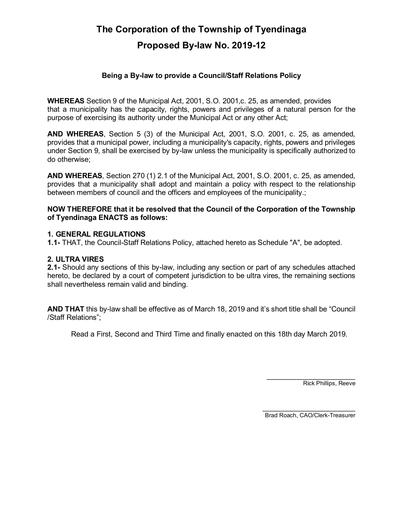# **The Corporation of the Township of Tyendinaga Proposed By-law No. 2019-12**

# **Being a By-law to provide a Council/Staff Relations Policy**

**WHEREAS** Section 9 of the Municipal Act, 2001, S.O. 2001,c. 25, as amended, provides that a municipality has the capacity, rights, powers and privileges of a natural person for the purpose of exercising its authority under the Municipal Act or any other Act;

**AND WHEREAS**, Section 5 (3) of the Municipal Act, 2001, S.O. 2001, c. 25, as amended, provides that a municipal power, including a municipality's capacity, rights, powers and privileges under Section 9, shall be exercised by by-law unless the municipality is specifically authorized to do otherwise;

**AND WHEREAS**, Section 270 (1) 2.1 of the Municipal Act, 2001, S.O. 2001, c. 25, as amended, provides that a municipality shall adopt and maintain a policy with respect to the relationship between members of council and the officers and employees of the municipality.;

### **NOW THEREFORE that it be resolved that the Council of the Corporation of the Township of Tyendinaga ENACTS as follows:**

# **1. GENERAL REGULATIONS**

**1.1-** THAT, the Council-Staff Relations Policy, attached hereto as Schedule "A", be adopted.

#### **2. ULTRA VIRES**

**2.1-** Should any sections of this by-law, including any section or part of any schedules attached hereto, be declared by a court of competent jurisdiction to be ultra vires, the remaining sections shall nevertheless remain valid and binding.

**AND THAT** this by-law shall be effective as of March 18, 2019 and it's short title shall be "Council /Staff Relations";

Read a First, Second and Third Time and finally enacted on this 18th day March 2019.

\_\_\_\_\_\_\_\_\_\_\_\_\_\_\_\_\_\_\_\_\_\_ Rick Phillips, Reeve

 $\overline{\phantom{a}}$  , which is a set of the set of the set of the set of the set of the set of the set of the set of the set of the set of the set of the set of the set of the set of the set of the set of the set of the set of th Brad Roach, CAO/Clerk-Treasurer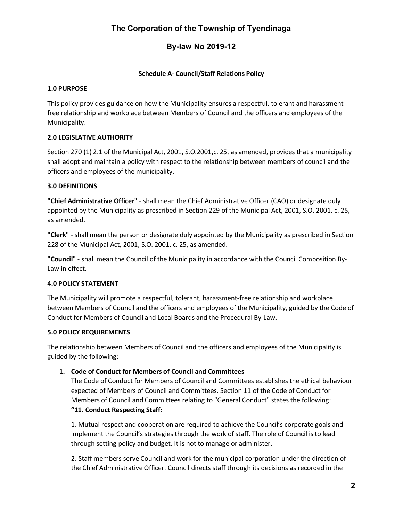# **The Corporation of the Township of Tyendinaga**

# **By-law No 2019-12**

# **Schedule A- Council/Staff Relations Policy**

# **1.0 PURPOSE**

This policy provides guidance on how the Municipality ensures a respectful, tolerant and harassmentfree relationship and workplace between Members of Council and the officers and employees of the Municipality.

# **2.0 LEGISLATIVE AUTHORITY**

Section 270 (1) 2.1 of the Municipal Act, 2001, S.O.2001,c. 25, as amended, provides that a municipality shall adopt and maintain a policy with respect to the relationship between members of council and the officers and employees of the municipality.

### **3.0 DEFINITIONS**

**"Chief Administrative Officer"** - shall mean the Chief Administrative Officer (CAO) or designate duly appointed by the Municipality as prescribed in Section 229 of the Municipal Act, 2001, S.O. 2001, c. 25, as amended.

**"Clerk"** - shall mean the person or designate duly appointed by the Municipality as prescribed in Section 228 of the Municipal Act, 2001, S.O. 2001, c. 25, as amended.

**"Council"** - shall mean the Council of the Municipality in accordance with the Council Composition By-Law in effect.

# **4.0 POLICY STATEMENT**

The Municipality will promote a respectful, tolerant, harassment-free relationship and workplace between Members of Council and the officers and employees of the Municipality, guided by the Code of Conduct for Members of Council and Local Boards and the Procedural By-Law.

#### **5.0 POLICY REQUIREMENTS**

The relationship between Members of Council and the officers and employees of the Municipality is guided by the following:

#### **1. Code of Conduct for Members of Council and Committees**

The Code of Conduct for Members of Council and Committees establishes the ethical behaviour expected of Members of Council and Committees. Section 11 of the Code of Conduct for Members of Council and Committees relating to "General Conduct" states the following: **"11. Conduct Respecting Staff:** 

1. Mutual respect and cooperation are required to achieve the Council's corporate goals and implement the Council's strategies through the work of staff. The role of Council is to lead through setting policy and budget. It is not to manage or administer.

2. Staff members serve Council and work for the municipal corporation under the direction of the Chief Administrative Officer. Council directs staff through its decisions as recorded in the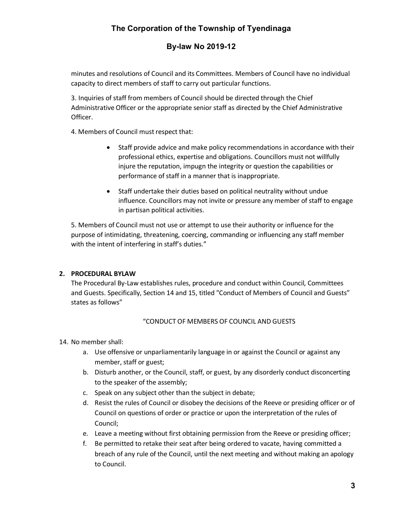# **The Corporation of the Township of Tyendinaga**

# **By-law No 2019-12**

minutes and resolutions of Council and its Committees. Members of Council have no individual capacity to direct members of staff to carry out particular functions.

3. Inquiries of staff from members of Council should be directed through the Chief Administrative Officer or the appropriate senior staff as directed by the Chief Administrative Officer.

4. Members of Council must respect that:

- Staff provide advice and make policy recommendations in accordance with their professional ethics, expertise and obligations. Councillors must not willfully injure the reputation, impugn the integrity or question the capabilities or performance of staff in a manner that is inappropriate.
- Staff undertake their duties based on political neutrality without undue influence. Councillors may not invite or pressure any member of staff to engage in partisan political activities.

5. Members of Council must not use or attempt to use their authority or influence for the purpose of intimidating, threatening, coercing, commanding or influencing any staff member with the intent of interfering in staff's duties."

# **2. PROCEDURAL BYLAW**

The Procedural By-Law establishes rules, procedure and conduct within Council, Committees and Guests. Specifically, Section 14 and 15, titled "Conduct of Members of Council and Guests" states as follows"

#### "CONDUCT OF MEMBERS OF COUNCIL AND GUESTS

#### 14. No member shall:

- a. Use offensive or unparliamentarily language in or against the Council or against any member, staff or guest;
- b. Disturb another, or the Council, staff, or guest, by any disorderly conduct disconcerting to the speaker of the assembly;
- c. Speak on any subject other than the subject in debate;
- d. Resist the rules of Council or disobey the decisions of the Reeve or presiding officer or of Council on questions of order or practice or upon the interpretation of the rules of Council;
- e. Leave a meeting without first obtaining permission from the Reeve or presiding officer;
- f. Be permitted to retake their seat after being ordered to vacate, having committed a breach of any rule of the Council, until the next meeting and without making an apology to Council.